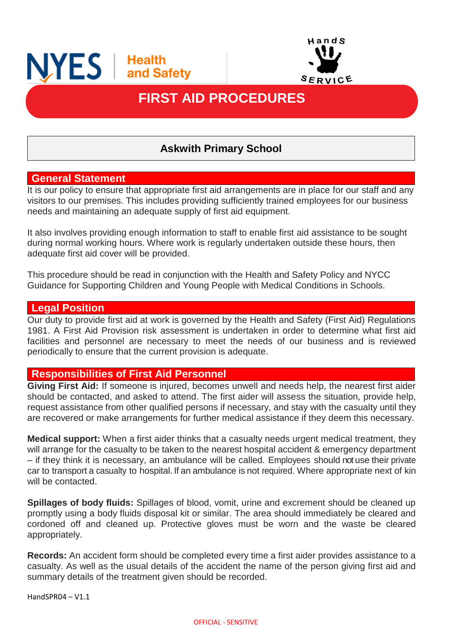



# **FIRST AID PROCEDURES**

֦

# **Askwith Primary School**

#### **General Statement**

It is our policy to ensure that appropriate first aid arrangements are in place for our staff and any visitors to our premises. This includes providing sufficiently trained employees for our business needs and maintaining an adequate supply of first aid equipment.

It also involves providing enough information to staff to enable first aid assistance to be sought during normal working hours. Where work is regularly undertaken outside these hours, then adequate first aid cover will be provided.

This procedure should be read in conjunction with the Health and Safety Policy and NYCC Guidance for Supporting Children and Young People with Medical Conditions in Schools.

#### **Legal Position**

Our duty to provide first aid at work is governed by the Health and Safety (First Aid) Regulations 1981. A First Aid Provision risk assessment is undertaken in order to determine what first aid facilities and personnel are necessary to meet the needs of our business and is reviewed periodically to ensure that the current provision is adequate.

#### **Responsibilities of First Aid Personnel**

**Giving First Aid:** If someone is injured, becomes unwell and needs help, the nearest first aider should be contacted, and asked to attend. The first aider will assess the situation, provide help, request assistance from other qualified persons if necessary, and stay with the casualty until they are recovered or make arrangements for further medical assistance if they deem this necessary.

**Medical support:** When a first aider thinks that a casualty needs urgent medical treatment, they will arrange for the casualty to be taken to the nearest hospital accident & emergency department – if they think it is necessary, an ambulance will be called. Employees should not use their private car to transport a casualty to hospital. If an ambulance is not required. Where appropriate next of kin will be contacted.

**Spillages of body fluids:** Spillages of blood, vomit, urine and excrement should be cleaned up promptly using a body fluids disposal kit or similar. The area should immediately be cleared and cordoned off and cleaned up. Protective gloves must be worn and the waste be cleared appropriately.

**Records:** An accident form should be completed every time a first aider provides assistance to a casualty. As well as the usual details of the accident the name of the person giving first aid and summary details of the treatment given should be recorded.